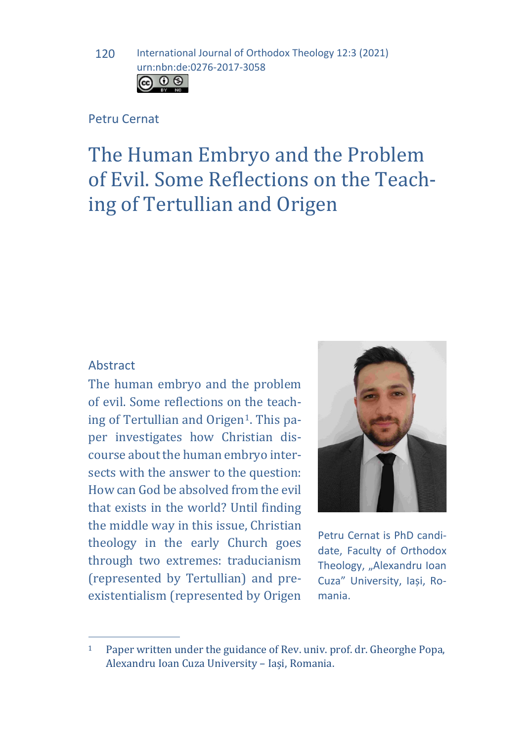### Petru Cernat

# The Human Embryo and the Problem of Evil. Some Reflections on the Teaching of Tertullian and Origen

### Abstract

The human embryo and the problem of evil. Some reflections on the teaching of Tertullian and Origen<sup>1</sup>. This paper investigates how Christian discourse about the human embryo intersects with the answer to the question: How can God be absolved from the evil that exists in the world? Until finding the middle way in this issue, Christian theology in the early Church goes through two extremes: traducianism (represented by Tertullian) and preexistentialism (represented by Origen



Petru Cernat is PhD candidate, Faculty of Orthodox Theology, "Alexandru Ioan Cuza" University, Iași, Romania.

<span id="page-0-0"></span> $\overline{1}$ Paper written under the guidance of Rev. univ. prof. dr. Gheorghe Popa, Alexandru Ioan Cuza University – Iași, Romania.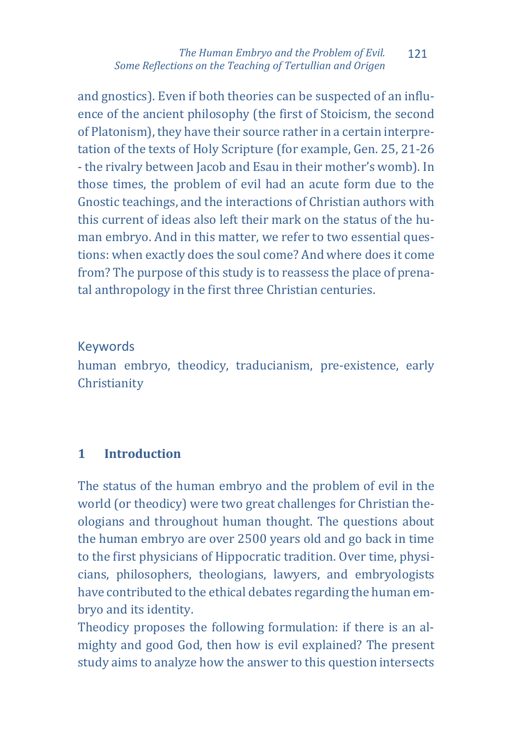and gnostics). Even if both theories can be suspected of an influence of the ancient philosophy (the first of Stoicism, the second of Platonism), they have their source rather in a certain interpretation of the texts of Holy Scripture (for example, Gen. 25, 21-26 - the rivalry between Jacob and Esau in their mother's womb). In those times, the problem of evil had an acute form due to the Gnostic teachings, and the interactions of Christian authors with this current of ideas also left their mark on the status of the human embryo. And in this matter, we refer to two essential questions: when exactly does the soul come? And where does it come from? The purpose of this study is to reassess the place of prenatal anthropology in the first three Christian centuries.

## Keywords

human embryo, theodicy, traducianism, pre-existence, early Christianity

### **1 Introduction**

The status of the human embryo and the problem of evil in the world (or theodicy) were two great challenges for Christian theologians and throughout human thought. The questions about the human embryo are over 2500 years old and go back in time to the first physicians of Hippocratic tradition. Over time, physicians, philosophers, theologians, lawyers, and embryologists have contributed to the ethical debates regarding the human embryo and its identity.

Theodicy proposes the following formulation: if there is an almighty and good God, then how is evil explained? The present study aims to analyze how the answer to this question intersects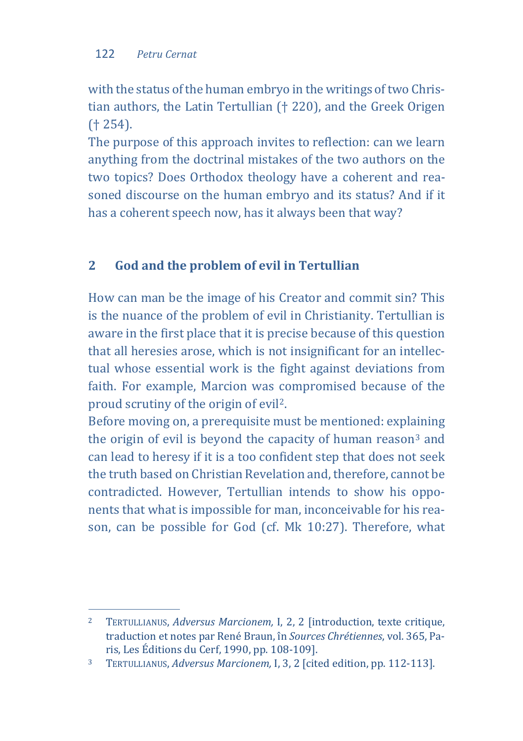with the status of the human embryo in the writings of two Christian authors, the Latin Tertullian († 220), and the Greek Origen († 254).

The purpose of this approach invites to reflection: can we learn anything from the doctrinal mistakes of the two authors on the two topics? Does Orthodox theology have a coherent and reasoned discourse on the human embryo and its status? And if it has a coherent speech now, has it always been that way?

# **2 God and the problem of evil in Tertullian**

How can man be the image of his Creator and commit sin? This is the nuance of the problem of evil in Christianity. Tertullian is aware in the first place that it is precise because of this question that all heresies arose, which is not insignificant for an intellectual whose essential work is the fight against deviations from faith. For example, Marcion was compromised because of the proud scrutiny of the origin of evil[2](#page-2-0).

Before moving on, a prerequisite must be mentioned: explaining the origin of evil is beyond the capacity of human reason $3$  and can lead to heresy if it is a too confident step that does not seek the truth based on Christian Revelation and, therefore, cannot be contradicted. However, Tertullian intends to show his opponents that what is impossible for man, inconceivable for his reason, can be possible for God (cf. Mk 10:27). Therefore, what

<span id="page-2-0"></span> $\overline{2}$ <sup>2</sup> TERTULLIANUS, *Adversus Marcionem,* I, 2, 2 [introduction, texte critique, traduction et notes par René Braun, în *Sources Chrétiennes*, vol. 365, Pa-

<span id="page-2-1"></span><sup>&</sup>lt;sup>3</sup> TERTULLIANUS, *Adversus Marcionem*, I, 3, 2 [cited edition, pp. 112-113].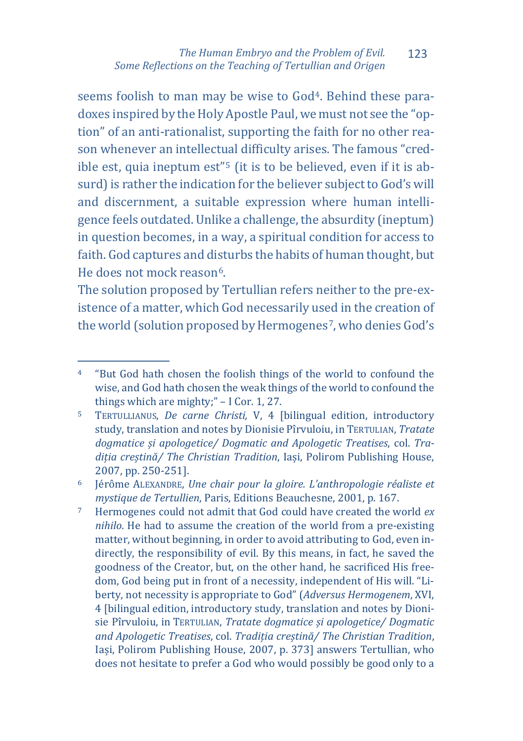seems foolish to man may be wise to God<sup>[4](#page-3-0)</sup>. Behind these paradoxes inspired by the Holy Apostle Paul, we must not see the "option" of an anti-rationalist, supporting the faith for no other reason whenever an intellectual difficulty arises. The famous "credible est, quia ineptum est"[5](#page-3-1) (it is to be believed, even if it is absurd) is rather the indication for the believer subject to God's will and discernment, a suitable expression where human intelligence feels outdated. Unlike a challenge, the absurdity (ineptum) in question becomes, in a way, a spiritual condition for access to faith. God captures and disturbs the habits of human thought, but He does not mock reason<sup>6</sup>.

The solution proposed by Tertullian refers neither to the pre-existence of a matter, which God necessarily used in the creation of the world (solution proposed by Hermogenes<sup>7</sup>, who denies God's

<span id="page-3-2"></span><sup>6</sup> Jérôme ALEXANDRE, *Une chair pour la gloire. L'anthropologie réaliste et mystique de Tertullien*, Paris, Editions Beauchesne, 2001, p. 167.

<span id="page-3-3"></span><sup>7</sup> Hermogenes could not admit that God could have created the world *ex nihilo*. He had to assume the creation of the world from a pre-existing matter, without beginning, in order to avoid attributing to God, even indirectly, the responsibility of evil. By this means, in fact, he saved the goodness of the Creator, but, on the other hand, he sacrificed His freedom, God being put in front of a necessity, independent of His will. "Liberty, not necessity is appropriate to God" (*Adversus Hermogenem*, XVI, 4 [bilingual edition, introductory study, translation and notes by Dionisie Pîrvuloiu, in TERTULIAN, *Tratate dogmatice și apologetice/ Dogmatic and Apologetic Treatises*, col. *Tradiția creștină/ The Christian Tradition*, Iași, Polirom Publishing House, 2007, p. 373] answers Tertullian, who does not hesitate to prefer a God who would possibly be good only to a

<span id="page-3-0"></span> $4 -$ <sup>4</sup> "But God hath chosen the foolish things of the world to confound the wise, and God hath chosen the weak things of the world to confound the things which are mighty;" – I Cor. 1, 27.

<span id="page-3-1"></span><sup>5</sup> TERTULLIANUS, *De carne Christi,* V, 4 [bilingual edition, introductory study, translation and notes by Dionisie Pîrvuloiu, in TERTULIAN, *Tratate dogmatice și apologetice/ Dogmatic and Apologetic Treatises*, col. *Tradiția creștină/ The Christian Tradition*, Iași, Polirom Publishing House, 2007, pp. 250-251].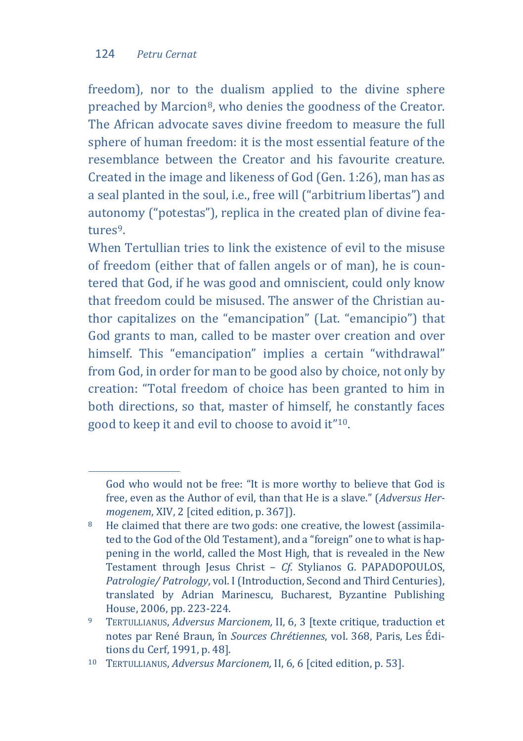j

freedom), nor to the dualism applied to the divine sphere preached by Marcion[8,](#page-4-0) who denies the goodness of the Creator. The African advocate saves divine freedom to measure the full sphere of human freedom: it is the most essential feature of the resemblance between the Creator and his favourite creature. Created in the image and likeness of God (Gen. 1:26), man has as a seal planted in the soul, i.e., free will ("arbitrium libertas") and autonomy ("potestas"), replica in the created plan of divine features[9.](#page-4-1)

When Tertullian tries to link the existence of evil to the misuse of freedom (either that of fallen angels or of man), he is countered that God, if he was good and omniscient, could only know that freedom could be misused. The answer of the Christian author capitalizes on the "emancipation" (Lat. "emancipio") that God grants to man, called to be master over creation and over himself. This "emancipation" implies a certain "withdrawal" from God, in order for man to be good also by choice, not only by creation: "Total freedom of choice has been granted to him in both directions, so that, master of himself, he constantly faces good to keep it and evil to choose to avoid it["10](#page-4-2).

God who would not be free: "It is more worthy to believe that God is free, even as the Author of evil, than that He is a slave." (*Adversus Hermogenem*, XIV, 2 [cited edition, p. 367]).

<span id="page-4-0"></span><sup>8</sup> He claimed that there are two gods: one creative, the lowest (assimilated to the God of the Old Testament), and a "foreign" one to what is happening in the world, called the Most High, that is revealed in the New Testament through Jesus Christ – *Cf*. Stylianos G. PAPADOPOULOS, *Patrologie/ Patrology*, vol. I (Introduction, Second and Third Centuries), translated by Adrian Marinescu, Bucharest, Byzantine Publishing House, 2006, pp. 223-224.

<span id="page-4-1"></span><sup>9</sup> TERTULLIANUS, *Adversus Marcionem,* II, 6, 3 [texte critique, traduction et notes par René Braun, în *Sources Chrétiennes*, vol. 368, Paris, Les Édi-

<span id="page-4-2"></span><sup>&</sup>lt;sup>10</sup> TERTULLIANUS, *Adversus Marcionem*, II, 6, 6 [cited edition, p. 53].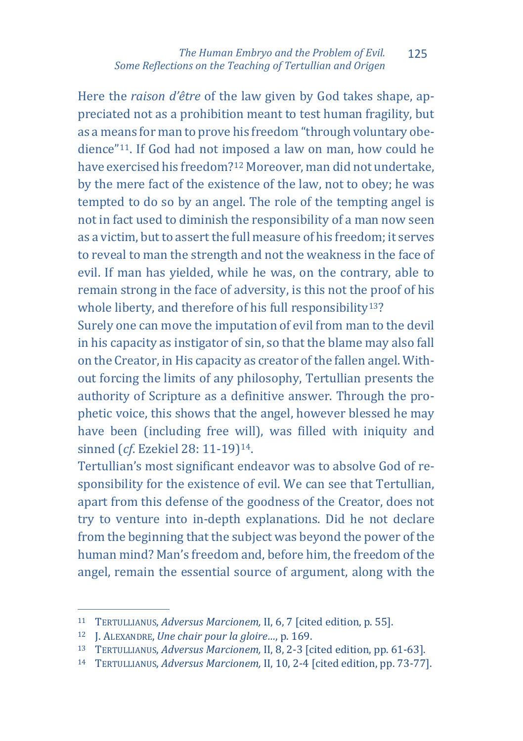Here the *raison d'être* of the law given by God takes shape, appreciated not as a prohibition meant to test human fragility, but as a means for man to prove his freedom "through voluntary obedience["11](#page-5-0). If God had not i[mpo](#page-5-1)sed a law on man, how could he have exercised his freedom?12 Moreover, man did not undertake, by the mere fact of the existence of the law, not to obey; he was tempted to do so by an angel. The role of the tempting angel is not in fact used to diminish the responsibility of a man now seen as a victim, but to assert the full measure of his freedom; it serves to reveal to man the strength and not the weakness in the face of evil. If man has yielded, while he was, on the contrary, able to remain strong in the face of adversity, is this not the proof of his whole liberty, and therefore of his full responsibility<sup>13</sup>?

Surely one can move the imputation of evil from man to the devil in his capacity as instigator of sin, so that the blame may also fall on the Creator, in His capacity as creator of the fallen angel. Without forcing the limits of any philosophy, Tertullian presents the authority of Scripture as a definitive answer. Through the prophetic voice, this shows that the angel, however blessed he may have been (including free will), was filled with iniquity and sinned (*cf*. Ezekiel 28: 11-19)[14](#page-5-3).

Tertullian's most significant endeavor was to absolve God of responsibility for the existence of evil. We can see that Tertullian, apart from this defense of the goodness of the Creator, does not try to venture into in-depth explanations. Did he not declare from the beginning that the subject was beyond the power of the human mind? Man's freedom and, before him, the freedom of the angel, remain the essential source of argument, along with the

<span id="page-5-0"></span>j <sup>11</sup> TERTULLIANUS, *Adversus Marcionem,* II, 6, 7 [cited edition, p. 55].

<span id="page-5-1"></span><sup>12</sup> J. ALEXANDRE, *Une chair pour la gloire…*, p. 169.

<span id="page-5-2"></span><sup>13</sup> TERTULLIANUS, *Adversus Marcionem,* II, 8, 2-3 [cited edition, pp. 61-63].

<span id="page-5-3"></span><sup>14</sup> TERTULLIANUS, *Adversus Marcionem,* II, 10, 2-4 [cited edition, pp. 73-77].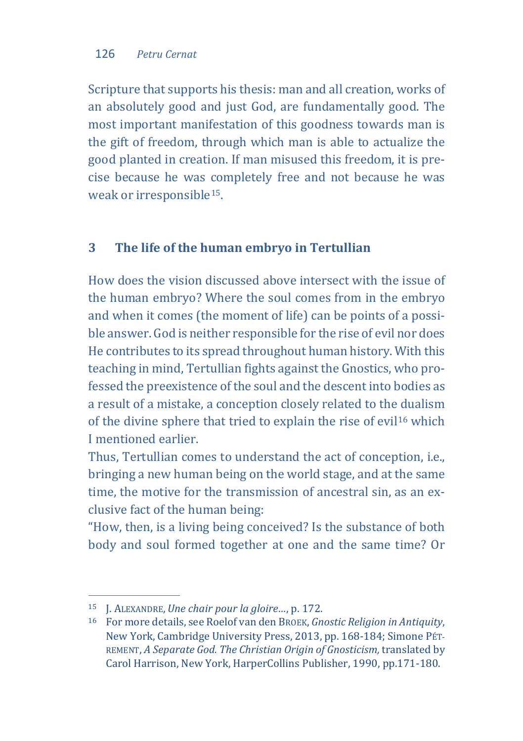Scripture that supports his thesis: man and all creation, works of an absolutely good and just God, are fundamentally good. The most important manifestation of this goodness towards man is the gift of freedom, through which man is able to actualize the good planted in creation. If man misused this freedom, it is precise because he was completely free and not because he was weak or irresponsible<sup>[15](#page-6-0)</sup>.

# **3 The life of the human embryo in Tertullian**

How does the vision discussed above intersect with the issue of the human embryo? Where the soul comes from in the embryo and when it comes (the moment of life) can be points of a possible answer. God is neither responsible for the rise of evil nor does He contributes to its spread throughout human history. With this teaching in mind, Tertullian fights against the Gnostics, who professed the preexistence of the soul and the descent into bodies as a result of a mistake, a conception closely related to the dualism of the divine sphere that tried to explain the rise of evil<sup>[16](#page-6-1)</sup> which I mentioned earlier.

Thus, Tertullian comes to understand the act of conception, i.e., bringing a new human being on the world stage, and at the same time, the motive for the transmission of ancestral sin, as an exclusive fact of the human being:

"How, then, is a living being conceived? Is the substance of both body and soul formed together at one and the same time? Or

<span id="page-6-0"></span>j <sup>15</sup> J. ALEXANDRE, *Une chair pour la gloire…*, p. 172.

<span id="page-6-1"></span><sup>16</sup> For more details, see Roelof van den BROEK, *Gnostic Religion in Antiquity*, New York, Cambridge University Press, 2013, pp. 168-184; Simone PÉT-REMENT, *A Separate God. The Christian Origin of Gnosticism,* translated by Carol Harrison, New York, HarperCollins Publisher, 1990, pp.171-180.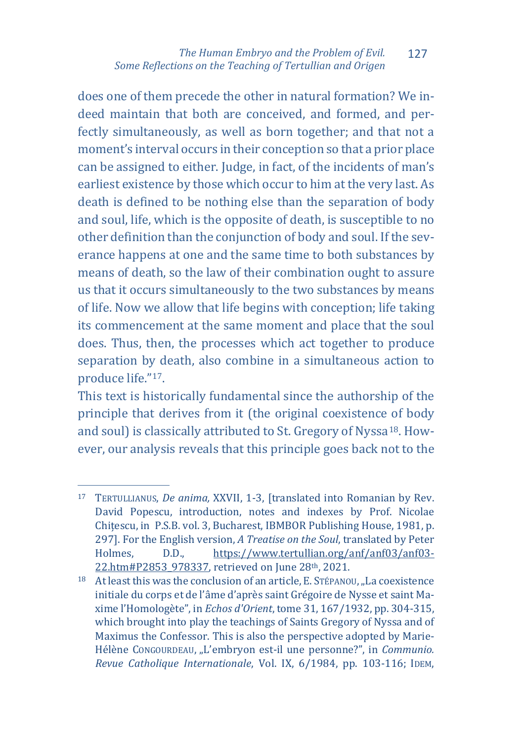does one of them precede the other in natural formation? We indeed maintain that both are conceived, and formed, and perfectly simultaneously, as well as born together; and that not a moment's interval occurs in their conception so that a prior place can be assigned to either. Judge, in fact, of the incidents of man's earliest existence by those which occur to him at the very last. As death is defined to be nothing else than the separation of body and soul, life, which is the opposite of death, is susceptible to no other definition than the conjunction of body and soul. If the severance happens at one and the same time to both substances by means of death, so the law of their combination ought to assure us that it occurs simultaneously to the two substances by means of life. Now we allow that life begins with conception; life taking its commencement at the same moment and place that the soul does. Thus, then, the processes which act together to produce separation by death, also combine in a simultaneous action to produce life."[17](#page-7-0).

This text is historically fundamental since the authorship of the principle that derives from it (the original coexistence of body and soul) is classically attributed to St. Gregory of Nyssa<sup>[18](#page-7-1)</sup>. However, our analysis reveals that this principle goes back not to the

<span id="page-7-0"></span>j <sup>17</sup> TERTULLIANUS, *De anima,* XXVII, 1-3, [translated into Romanian by Rev. David Popescu, introduction, notes and indexes by Prof. Nicolae Chițescu, in P.S.B. vol. 3, Bucharest, IBMBOR Publishing House, 1981, p. 297]. For the English version, *A Treatise on the Soul*, translated by Peter Holmes. D.D., https://www.tertullian.org/anf/anf03/anf03[https://www.tertullian.org/anf/anf03/anf03-](https://www.tertullian.org/anf/anf03/anf03-22.htm#P2853_978337) [22.htm#P2853\\_978337,](https://www.tertullian.org/anf/anf03/anf03-22.htm#P2853_978337) retrieved on June 28th, 2021.

<span id="page-7-1"></span> $18$  At least this was the conclusion of an article, E. Stépanou, ...La coexistence initiale du corps et de l'âme d'après saint Grégoire de Nysse et saint Maxime l'Homologète", in *Echos d'Orient*, tome 31, 167/1932, pp. 304-315, which brought into play the teachings of Saints Gregory of Nyssa and of Maximus the Confessor. This is also the perspective adopted by Marie-Hélène CONGOURDEAU, "L'embryon est-il une personne?", in *Communio*. *Revue Catholique Internationale*, Vol. IX, 6/1984, pp. 103-116; IDEM,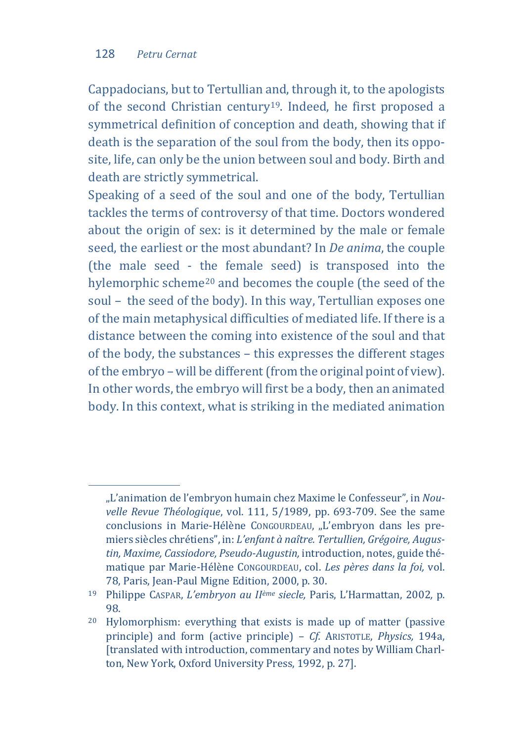j

Cappadocians, but to Tertullian and, through it, to the apologists of the second Christian century<sup>19</sup>. Indeed, he first proposed a symmetrical definition of conception and death, showing that if death is the separation of the soul from the body, then its opposite, life, can only be the union between soul and body. Birth and death are strictly symmetrical.

Speaking of a seed of the soul and one of the body, Tertullian tackles the terms of controversy of that time. Doctors wondered about the origin of sex: is it determined by the male or female seed, the earliest or the most abundant? In *De anima*, the couple (the male seed - the female seed) is transposed into the hylemorphic scheme[20](#page-8-1) and becomes the couple (the seed of the soul – the seed of the body). In this way, Tertullian exposes one of the main metaphysical difficulties of mediated life. If there is a distance between the coming into existence of the soul and that of the body, the substances – this expresses the different stages of the embryo – will be different (from the original point of view). In other words, the embryo will first be a body, then an animated body. In this context, what is striking in the mediated animation

<sup>&</sup>quot;L'animation de l'embryon humain chez Maxime le Confesseur", in *Nouvelle Revue Théologique*, vol. 111, 5/1989, pp. 693-709. See the same conclusions in Marie-Hélène CONGOURDEAU, "L'embryon dans les premiers siècles chrétiens", in: *L'enfant à naître. Tertullien, Grégoire, Augustin, Maxime, Cassiodore, Pseudo-Augustin,* introduction, notes, guide thématique par Marie-Hélène CONGOURDEAU, col. *Les pères dans la foi,* vol. 78, Paris, Jean-Paul Migne Edition, 2000, p. 30.

<span id="page-8-0"></span><sup>19</sup> Philippe CASPAR, *L'embryon au IIème siecle,* Paris, L'Harmattan, 2002*,* p. 98.

<span id="page-8-1"></span><sup>20</sup> Hylomorphism: everything that exists is made up of matter (passive principle) and form (active principle) – *Cf.* ARISTOTLE, *Physics,* 194a, [translated with introduction, commentary and notes by William Charlton, New York, Oxford University Press, 1992, p. 27].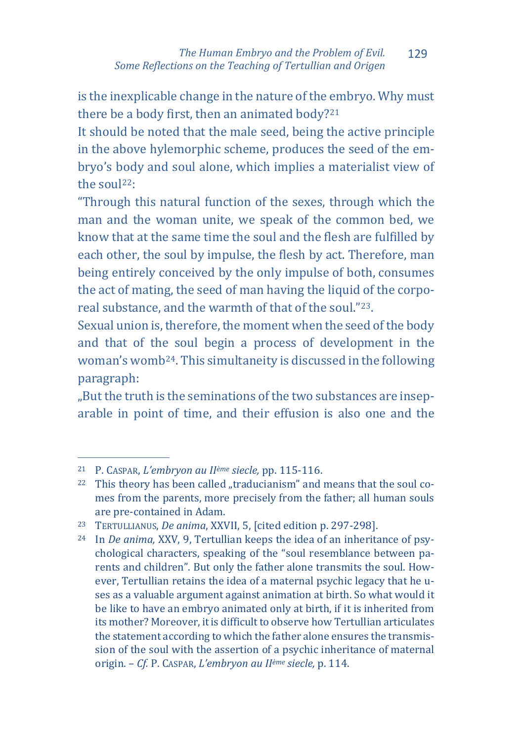is the inexplicable change in the nature of the embryo. Why must there be a body first, then an animated body?[21](#page-9-0)

It should be noted that the male seed, being the active principle in the above hylemorphic scheme, produces the seed of the embryo's body and soul alone, which implies a materialist view of the sou[l22](#page-9-1):

"Through this natural function of the sexes, through which the man and the woman unite, we speak of the common bed, we know that at the same time the soul and the flesh are fulfilled by each other, the soul by impulse, the flesh by act. Therefore, man being entirely conceived by the only impulse of both, consumes the act of mating, the seed of man having the liquid of the corporeal substance, and the warmth of that of the soul."[23.](#page-9-2)

Sexual union is, therefore, the moment when the seed of the body and that of the soul begin a process of development in the woman's womb[24](#page-9-3). This simultaneity is discussed in the following paragraph:

"But the truth is the seminations of the two substances are inseparable in point of time, and their effusion is also one and the

j <sup>21</sup> P. CASPAR, *L'embryon au IIème siecle,* pp. 115-116.

<span id="page-9-1"></span><span id="page-9-0"></span> $22$  This theory has been called "traducianism" and means that the soul comes from the parents, more precisely from the father; all human souls are pre-contained in Adam.

<span id="page-9-2"></span><sup>23</sup> TERTULLIANUS, *De anima*, XXVII, 5, [cited edition p. 297-298].

<span id="page-9-3"></span><sup>24</sup> In *De anima,* XXV, 9, Tertullian keeps the idea of an inheritance of psychological characters, speaking of the "soul resemblance between parents and children". But only the father alone transmits the soul. However, Tertullian retains the idea of a maternal psychic legacy that he uses as a valuable argument against animation at birth. So what would it be like to have an embryo animated only at birth, if it is inherited from its mother? Moreover, it is difficult to observe how Tertullian articulates the statement according to which the father alone ensures the transmission of the soul with the assertion of a psychic inheritance of maternal origin. – *Cf.* P. CASPAR, *L'embryon au IIème siecle,* p. 114.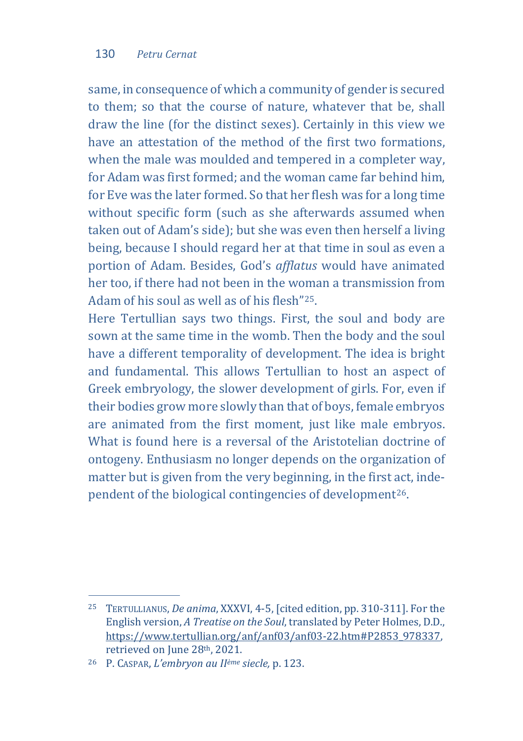same, in consequence of which a community of gender is secured to them; so that the course of nature, whatever that be, shall draw the line (for the distinct sexes). Certainly in this view we have an attestation of the method of the first two formations. when the male was moulded and tempered in a completer way, for Adam was first formed; and the woman came far behind him, for Eve was the later formed. So that her flesh was for a long time without specific form (such as she afterwards assumed when taken out of Adam's side); but she was even then herself a living being, because I should regard her at that time in soul as even a portion of Adam. Besides, God's *afflatus* would have animated her too, if there had not been in the woman a transmission from Adam of his soul as well as of his flesh"[25](#page-10-0).

Here Tertullian says two things. First, the soul and body are sown at the same time in the womb. Then the body and the soul have a different temporality of development. The idea is bright and fundamental. This allows Tertullian to host an aspect of Greek embryology, the slower development of girls. For, even if their bodies grow more slowly than that of boys, female embryos are animated from the first moment, just like male embryos. What is found here is a reversal of the Aristotelian doctrine of ontogeny. Enthusiasm no longer depends on the organization of matter but is given from the very beginning, in the first act, independent of the biological contingencies of development[26](#page-10-1).

<span id="page-10-0"></span>j <sup>25</sup> TERTULLIANUS, *De anima*, XXXVI, 4-5, [cited edition, pp. 310-311]. For the English version, *A Treatise on the Soul*, translated by Peter Holmes, D.D., [https://www.tertullian.org/anf/anf03/anf03-22.htm#P2853\\_978337,](https://www.tertullian.org/anf/anf03/anf03-22.htm#P2853_978337)  retrieved on June 28th, 2021.

<span id="page-10-1"></span><sup>26</sup> P. CASPAR, *L'embryon au IIème siecle,* p. 123.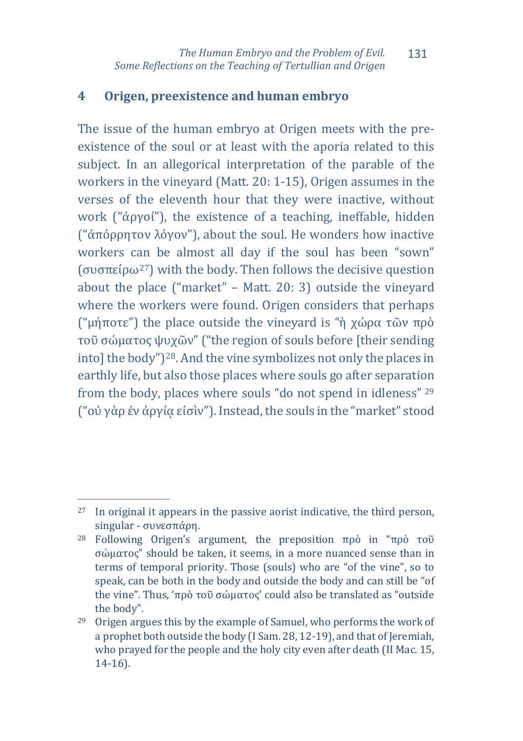# **4 Origen, preexistence and human embryo**

The issue of the human embryo at Origen meets with the preexistence of the soul or at least with the aporia related to this subject. In an allegorical interpretation of the parable of the workers in the vineyard (Matt. 20: 1-15), Origen assumes in the verses of the eleventh hour that they were inactive, without work ("ἀργοί"), the existence of a teaching, ineffable, hidden ("ἀπόρρητον λόγον"), about the soul. He wonders how inactive workers can be almost all day if the soul has been "sown" (συσπείρω[27\)](#page-11-0) with the body. Then follows the decisive question about the place ("market" – Matt. 20: 3) outside the vineyard where the workers were found. Origen considers that perhaps ("μήποτε") the place outside the vineyard is "ἡ χώρα τῶν πρὸ τοῦ σώματος ψυχῶν" ("the region of souls before [their sending into] the body")[28](#page-11-1). And the vine symbolizes not only the places in earthly life, but also those places where souls go after separati[on](#page-11-2)  from the body, places where souls "do not spend in idleness" <sup>29</sup> ("οὐ γὰρ ἐν ἀργίᾳ εἰσὶν"). Instead, the souls in the "market" stood

<span id="page-11-0"></span>j <sup>27</sup> In original it appears in the passive aorist indicative, the third person, singular - συνεσπάρη.

<span id="page-11-1"></span><sup>28</sup> Following Origen's argument, the preposition πρὸ in "πρὸ τοῦ σώματος" should be taken, it seems, in a more nuanced sense than in terms of temporal priority. Those (souls) who are "of the vine", so to speak, can be both in the body and outside the body and can still be "of the vine". Thus, 'πρὸ τοῦ σώματος' could also be translated as "outside the body".

<span id="page-11-2"></span><sup>29</sup> Origen argues this by the example of Samuel, who performs the work of a prophet both outside the body (I Sam. 28, 12-19), and that of Jeremiah, who prayed for the people and the holy city even after death (II Mac. 15, 14-16).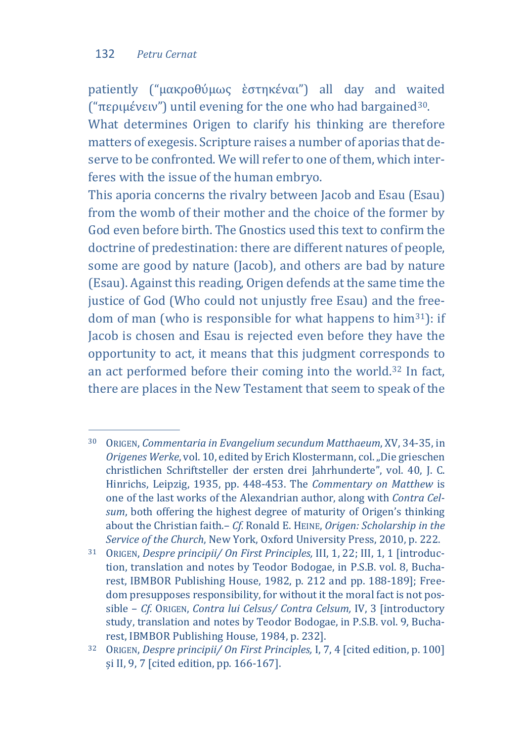patiently ("μακροθύμως ἑστηκέναι") all day and waited ("περιμένειν") until evening for the one who had bargained[30](#page-12-0).

What determines Origen to clarify his thinking are therefore matters of exegesis. Scripture raises a number of aporias that deserve to be confronted. We will refer to one of them, which interferes with the issue of the human embryo.

This aporia concerns the rivalry between Jacob and Esau (Esau) from the womb of their mother and the choice of the former by God even before birth. The Gnostics used this text to confirm the doctrine of predestination: there are different natures of people, some are good by nature (Jacob), and others are bad by nature (Esau). Against this reading, Origen defends at the same time the justice of God (Who could not unjustly free Esau) and the freedom of man (who is responsible for what happens to him[31](#page-12-1)): if Jacob is chosen and Esau is rejected even before they have the opportunity to act, it means that this judgment corresponds to an act performed before their coming into the world.[32](#page-12-2) In fact, there are places in the New Testament that seem to speak of the

<span id="page-12-0"></span>j <sup>30</sup> ORIGEN, *Commentaria in Evangelium secundum Matthaeum*, XV, 34-35, in *Origenes Werke*, vol. 10, edited by Erich Klostermann, col. "Die grieschen christlichen Schriftsteller der ersten drei Jahrhunderte", vol. 40, J. C. Hinrichs, Leipzig, 1935, pp. 448-453. The *Commentary on Matthew* is one of the last works of the Alexandrian author, along with *Contra Celsum*, both offering the highest degree of maturity of Origen's thinking about the Christian faith.– *Cf.* Ronald E. HEINE, *Origen: Scholarship in the Service of the Church*, New York, Oxford University Press, 2010, p. 222.

<span id="page-12-1"></span><sup>31</sup> ORIGEN, *Despre principii/ On First Principles,* III, 1, 22; III, 1, 1 [introduction, translation and notes by Teodor Bodogae, in P.S.B. vol. 8, Bucharest, IBMBOR Publishing House, 1982, p. 212 and pp. 188-189]; Freedom presupposes responsibility, for without it the moral fact is not possible – *Cf.* ORIGEN, *Contra lui Celsus/ Contra Celsum,* IV, 3 [introductory study, translation and notes by Teodor Bodogae, in P.S.B. vol. 9, Bucharest, IBMBOR Publishing House, 1984, p. 232].

<span id="page-12-2"></span><sup>32</sup> ORIGEN, *Despre principii/ On First Principles,* I, 7, 4 [cited edition, p. 100] și II, 9, 7 [cited edition, pp. 166-167].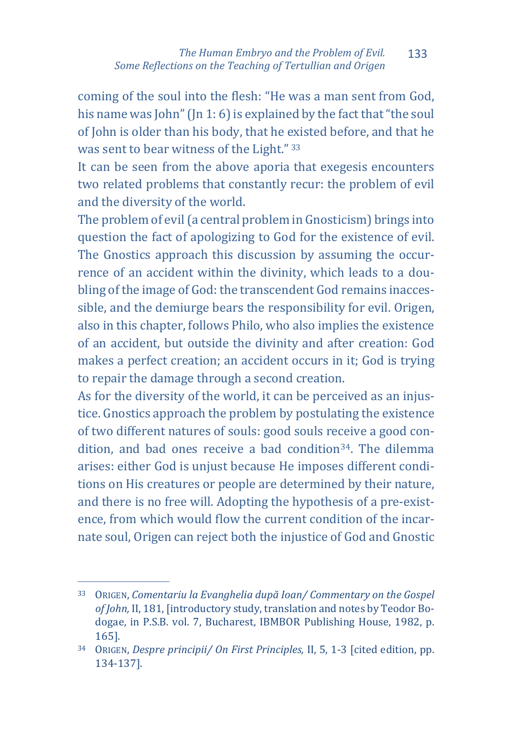coming of the soul into the flesh: "He was a man sent from God, his name was John" (Jn 1: 6) is explained by the fact that "the soul of John is older than his body, that he [exi](#page-13-0)sted before, and that he was sent to bear witness of the Light." <sup>33</sup>

It can be seen from the above aporia that exegesis encounters two related problems that constantly recur: the problem of evil and the diversity of the world.

The problem of evil (a central problem in Gnosticism) brings into question the fact of apologizing to God for the existence of evil. The Gnostics approach this discussion by assuming the occurrence of an accident within the divinity, which leads to a doubling of the image of God: the transcendent God remains inaccessible, and the demiurge bears the responsibility for evil. Origen, also in this chapter, follows Philo, who also implies the existence of an accident, but outside the divinity and after creation: God makes a perfect creation; an accident occurs in it; God is trying to repair the damage through a second creation.

As for the diversity of the world, it can be perceived as an injustice. Gnostics approach the problem by postulating the existence of two different natures of souls: good souls receive a good condition, and bad ones receive a bad condition[34.](#page-13-1) The dilemma arises: either God is unjust because He imposes different conditions on His creatures or people are determined by their nature, and there is no free will. Adopting the hypothesis of a pre-existence, from which would flow the current condition of the incarnate soul, Origen can reject both the injustice of God and Gnostic

<span id="page-13-0"></span>j <sup>33</sup> ORIGEN, *Comentariu la Evanghelia după Ioan/ Commentary on the Gospel of John,* II, 181, [introductory study, translation and notes by Teodor Bodogae, in P.S.B. vol. 7, Bucharest, IBMBOR Publishing House, 1982, p. 165].

<span id="page-13-1"></span><sup>34</sup> ORIGEN, *Despre principii/ On First Principles,* II, 5, 1-3 [cited edition, pp. 134-137].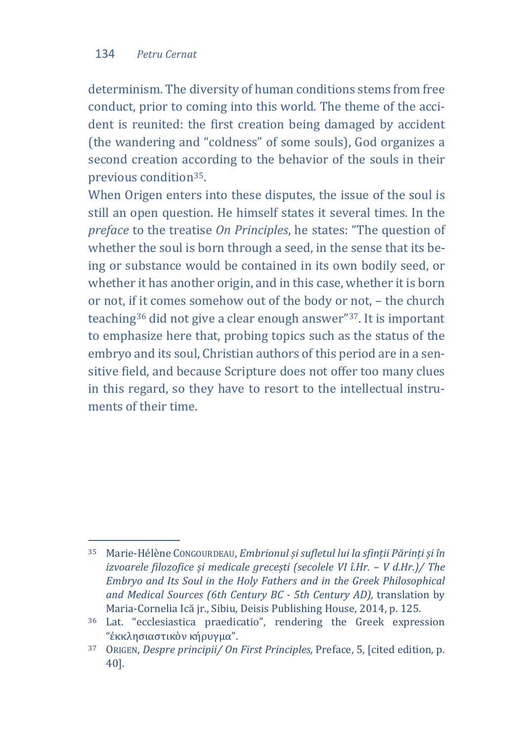determinism. The diversity of human conditions stems from free conduct, prior to coming into this world. The theme of the accident is reunited: the first creation being damaged by accident (the wandering and "coldness" of some souls), God organizes a second creation according to the behavior of the souls in their previous condition[35.](#page-14-0)

When Origen enters into these disputes, the issue of the soul is still an open question. He himself states it several times. In the *preface* to the treatise *On Principles*, he states: "The question of whether the soul is born through a seed, in the sense that its being or substance would be contained in its own bodily seed, or whether it has another origin, and in this case, whether it is born or not, if it comes somehow out of the body or not, – the church teaching[36](#page-14-1) did not give a clear enough answer"[37.](#page-14-2) It is important to emphasize here that, probing topics such as the status of the embryo and its soul, Christian authors of this period are in a sensitive field, and because Scripture does not offer too many clues in this regard, so they have to resort to the intellectual instruments of their time.

<span id="page-14-1"></span><span id="page-14-0"></span>j <sup>35</sup> Marie-Hélène CONGOURDEAU, *Embrionul și sufletul lui la sfinții Părinți și în izvoarele filozofice și medicale grecești (secolele VI î.Hr. - V d.Hr.)* / The *Embryo and Its Soul in the Holy Fathers and in the Greek Philosophical and Medical Sources (6th Century BC - 5th Century AD),* translation by Maria-Cornelia Ică jr., Sibiu, Deisis Publishing House, 2014, p. 125.

<span id="page-14-3"></span><span id="page-14-2"></span><sup>36</sup> Lat. "ecclesiastica praedicatio", rendering the Greek expression "ἐκκλησιαστικὸν κήρυγμα".

<sup>37</sup> ORIGEN, *Despre principii/ On First Principles,* Preface, 5, [cited edition, p. 40].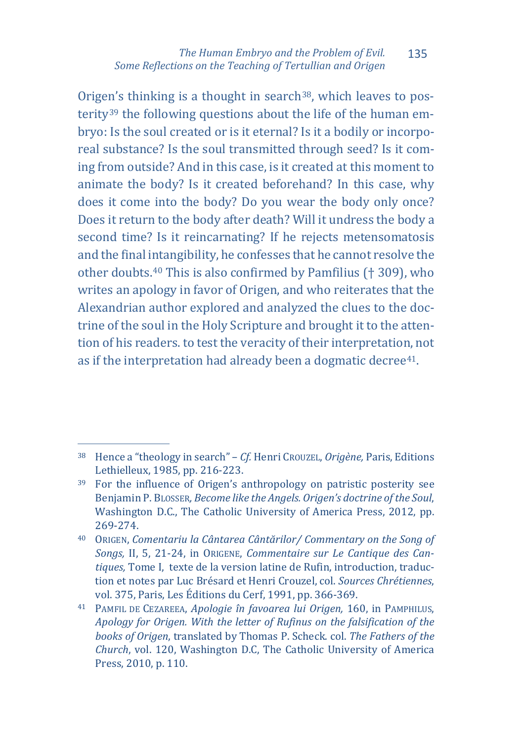Origen's thinking is a thought in search<sup>[38](#page-14-3)</sup>, which leaves to posterity[39](#page-15-0) the following questions about the life of the human embryo: Is the soul created or is it eternal? Is it a bodily or incorporeal substance? Is the soul transmitted through seed? Is it coming from outside? And in this case, is it created at this moment to animate the body? Is it created beforehand? In this case, why does it come into the body? Do you wear the body only once? Does it return to the body after death? Will it undress the body a second time? Is it reincarnating? If he rejects metensomatosis and the final i[nt](#page-15-1)angibility, he confesses that he cannot resolve the other doubts.40 This is also confirmed by Pamfilius († 309), who writes an apology in favor of Origen, and who reiterates that the Alexandrian author explored and analyzed the clues to the doctrine of the soul in the Holy Scripture and brought it to the attention of his readers. to test the veracity of their interpretation, not as if the interpretation had already been a dogmatic decree<sup>[41](#page-15-2)</sup>.

j <sup>38</sup> Hence a "theology in search" – *Cf.* Henri CROUZEL, *Origène,* Paris, Editions Lethielleux, 1985, pp. 216-223.

<sup>39</sup> For the influence of Origen's anthropology on patristic posterity see Benjamin P. BLOSSER*, Become like the Angels. Origen's doctrine of the Soul*, Washington D.C., The Catholic University of America Press, 2012, pp. 269-274.

<span id="page-15-1"></span><sup>40</sup> ORIGEN, *Comentariu la Cântarea Cântărilor/ Commentary on the Song of Songs,* II, 5, 21-24, in ORIGENE, *Commentaire sur Le Cantique des Cantiques,* Tome I, texte de la version latine de Rufin, introduction, traduction et notes par Luc Brésard et Henri Crouzel, col. *Sources Chrétiennes*,

<span id="page-15-2"></span><span id="page-15-0"></span><sup>&</sup>lt;sup>41</sup> PAMFIL DE CEZAREEA, Apologie în favoarea lui Origen, 160, in PAMPHILUS, *Apology for Origen. With the letter of Rufinus on the falsification of the books of Origen*, translated by Thomas P. Scheck. col. *The Fathers of the Church*, vol. 120, Washington D.C, The Catholic University of America Press, 2010, p. 110.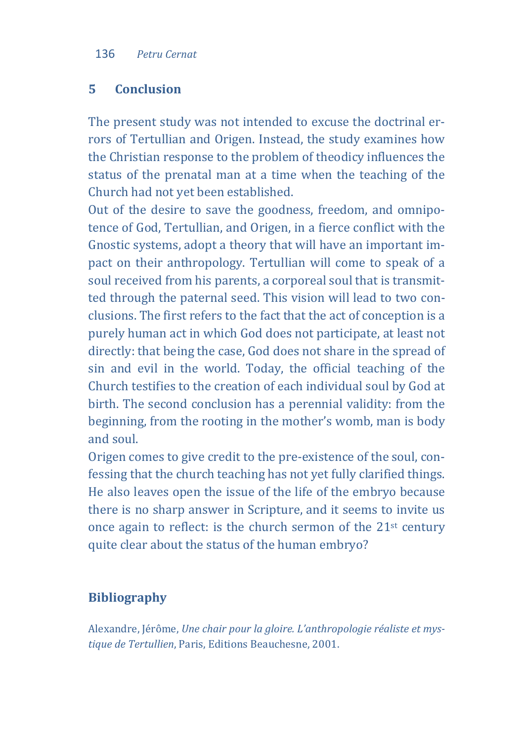# **5 Conclusion**

The present study was not intended to excuse the doctrinal errors of Tertullian and Origen. Instead, the study examines how the Christian response to the problem of theodicy influences the status of the prenatal man at a time when the teaching of the Church had not yet been established.

Out of the desire to save the goodness, freedom, and omnipotence of God, Tertullian, and Origen, in a fierce conflict with the Gnostic systems, adopt a theory that will have an important impact on their anthropology. Tertullian will come to speak of a soul received from his parents, a corporeal soul that is transmitted through the paternal seed. This vision will lead to two conclusions. The first refers to the fact that the act of conception is a purely human act in which God does not participate, at least not directly: that being the case, God does not share in the spread of sin and evil in the world. Today, the official teaching of the Church testifies to the creation of each individual soul by God at birth. The second conclusion has a perennial validity: from the beginning, from the rooting in the mother's womb, man is body and soul.

Origen comes to give credit to the pre-existence of the soul, confessing that the church teaching has not yet fully clarified things. He also leaves open the issue of the life of the embryo because there is no sharp answer in Scripture, and it seems to invite us once again to reflect: is the church sermon of the 21st century quite clear about the status of the human embryo?

# **Bibliography**

Alexandre, Jérôme, *Une chair pour la gloire. L'anthropologie réaliste et mystique de Tertullien*, Paris, Editions Beauchesne, 2001.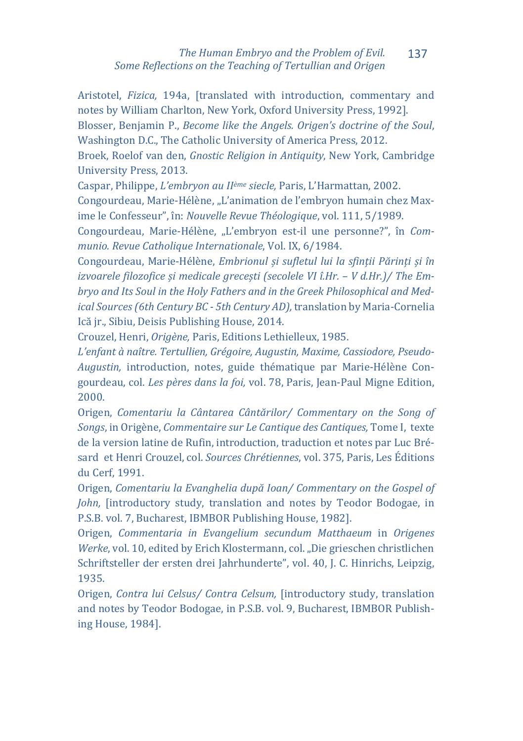Aristotel, *Fizica,* 194a, [translated with introduction, commentary and notes by William Charlton, New York, Oxford University Press, 1992]. Blosser, Benjamin P., *Become like the Angels. Origen's doctrine of the Soul*, Washington D.C., The Catholic University of America Press, 2012.

Broek, Roelof van den, *Gnostic Religion in Antiquity*, New York, Cambridge University Press, 2013.

Caspar, Philippe, *L'embryon au IIème siecle,* Paris, L'Harmattan, 2002.

Congourdeau, Marie-Hélène, "L'animation de l'embryon humain chez Maxime le Confesseur", în: *Nouvelle Revue Théologique*, vol. 111, 5/1989.

Congourdeau, Marie-Hélène, "L'embryon est-il une personne?", în *Communio. Revue Catholique Internationale*, Vol. IX, 6/1984.

Congourdeau, Marie-Hélène, *Embrionul și sufletul lui la sfinții Părinți și în*  izvoarele filozofice și medicale grecești (secolele VI î.Hr. - V d.Hr.)/ The Em*bryo and Its Soul in the Holy Fathers and in the Greek Philosophical and Medical Sources (6th Century BC - 5th Century AD),* translation by Maria-Cornelia Ică jr., Sibiu, Deisis Publishing House, 2014.

Crouzel, Henri, *Origène,* Paris, Editions Lethielleux, 1985.

*L'enfant à naître. Tertullien, Grégoire, Augustin, Maxime, Cassiodore, Pseudo-Augustin,* introduction, notes, guide thématique par Marie-Hélène Congourdeau, col. *Les pères dans la foi,* vol. 78, Paris, Jean-Paul Migne Edition, 2000.

Origen, *Comentariu la Cântarea Cântărilor/ Commentary on the Song of Songs*, in Origène, *Commentaire sur Le Cantique des Cantiques,* Tome I, texte de la version latine de Rufin, introduction, traduction et notes par Luc Brésard et Henri Crouzel, col. *Sources Chrétiennes*, vol. 375, Paris, Les Éditions du Cerf, 1991.

Origen, *Comentariu la Evanghelia după Ioan/ Commentary on the Gospel of John,* [introductory study, translation and notes by Teodor Bodogae, in P.S.B. vol. 7, Bucharest, IBMBOR Publishing House, 1982].

Origen, *Commentaria in Evangelium secundum Matthaeum* in *Origenes Werke*, vol. 10, edited by Erich Klostermann, col. "Die grieschen christlichen Schriftsteller der ersten drei Jahrhunderte", vol. 40, J. C. Hinrichs, Leipzig, 1935.

Origen, *Contra lui Celsus/ Contra Celsum,* [introductory study, translation and notes by Teodor Bodogae, in P.S.B. vol. 9, Bucharest, IBMBOR Publishing House, 1984].